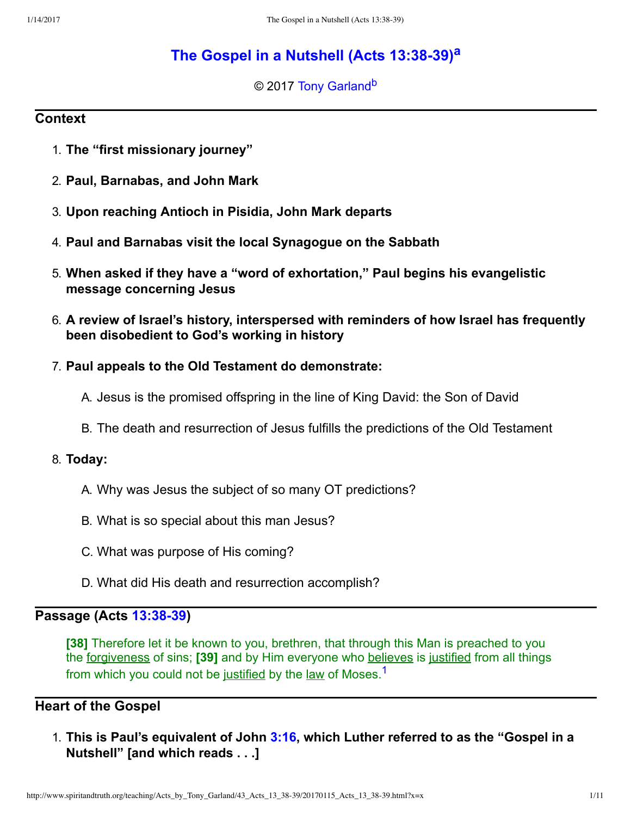# **[The Gospel in a Nutshell \(Acts 13:3839\)](http://www.spiritandtruth.org/teaching/Acts_by_Tony_Garland/43_Acts_13_38-39/index.htm)[a](#page-10-0)**

<span id="page-0-3"></span><span id="page-0-2"></span>© 2017 [Tony Garland](http://www.spiritandtruth.org/id/tg.htm)<sup>[b](#page-10-1)</sup>

# **Context**

- 1. **The "first missionary journey"**
- 2. **Paul, Barnabas, and John Mark**
- 3. **Upon reaching Antioch in Pisidia, John Mark departs**
- 4. **Paul and Barnabas visit the local Synagogue on the Sabbath**
- 5. **When asked if they have a "word of exhortation," Paul begins his evangelistic message concerning Jesus**
- 6. **A review of Israel's history, interspersed with reminders of how Israel has frequently been disobedient to God's working in history**
- 7. **Paul appeals to the Old Testament do demonstrate:**
	- A. Jesus is the promised offspring in the line of King David: the Son of David
	- B. The death and resurrection of Jesus fulfills the predictions of the Old Testament

### 8. **Today:**

- A. Why was Jesus the subject of so many OT predictions?
- B. What is so special about this man Jesus?
- C. What was purpose of His coming?
- <span id="page-0-1"></span><span id="page-0-0"></span>D. What did His death and resurrection accomplish?

# **Passage (Acts 13:38-39)**

**[38]** Therefore let it be known to you, brethren, that through this Man is preached to you the forgiveness of sins; **[39]** and by Him everyone who believes is justified from all things from which you could not be justified by the law of Moses.<sup>[1](#page-10-2)</sup>

# **Heart of the Gospel**

1. **This is Paul's equivalent of John [3:16,](http://www.spiritandtruth.org/bibles/nasb/b43c003.htm#John_C3V16) which Luther referred to as the "Gospel in a Nutshell" [and which reads . . .]**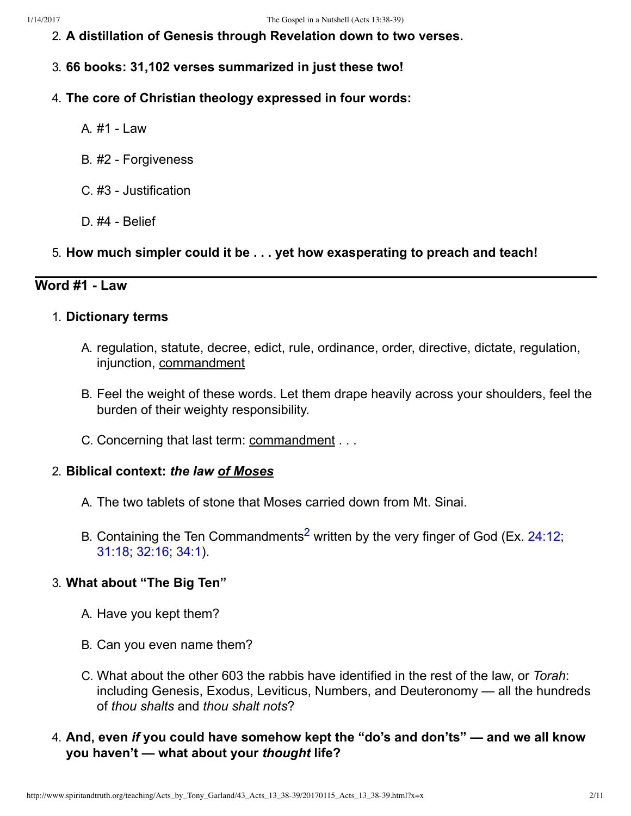- 2. **A distillation of Genesis through Revelation down to two verses.**
- 3. **66 books: 31,102 verses summarized in just these two!**
- 4. **The core of Christian theology expressed in four words:**
	- A  $#1 -$  aw
	- B. #2 Forgiveness
	- C. #3 Justification
	- $D.$ #4 Belief
- 5. **How much simpler could it be . . . yet how exasperating to preach and teach!**

# **Word #1 Law**

### 1. **Dictionary terms**

- A. regulation, statute, decree, edict, rule, ordinance, order, directive, dictate, regulation, injunction, commandment
- B. Feel the weight of these words. Let them drape heavily across your shoulders, feel the burden of their weighty responsibility.
- C. Concerning that last term: commandment . . .

### 2. **Biblical context:** *the law of Moses*

- A. The two tablets of stone that Moses carried down from Mt. Sinai.
- <span id="page-1-0"></span>B. Containing the Ten Commandments<sup>[2](#page-10-3)</sup> written by the very finger of God (Ex. [24:12](http://www.spiritandtruth.org/bibles/nasb/b02c024.htm#Ex._C24V12); [31:18;](http://www.spiritandtruth.org/bibles/nasb/b02c031.htm#Ex._C31V18) [32:16](http://www.spiritandtruth.org/bibles/nasb/b02c032.htm#Ex._C32V16); [34:1](http://www.spiritandtruth.org/bibles/nasb/b02c034.htm#Ex._C34V1)).

### 3. **What about "The Big Ten"**

- A. Have you kept them?
- B. Can you even name them?
- C. What about the other 603 the rabbis have identified in the rest of the law, or *Torah*: including Genesis, Exodus, Leviticus, Numbers, and Deuteronomy — all the hundreds of *thou shalts* and *thou shalt nots*?
- 4. **And, even** *if* **you could have somehow kept the "do's and don'ts" and we all know you haven't — what about your** *thought* **life?**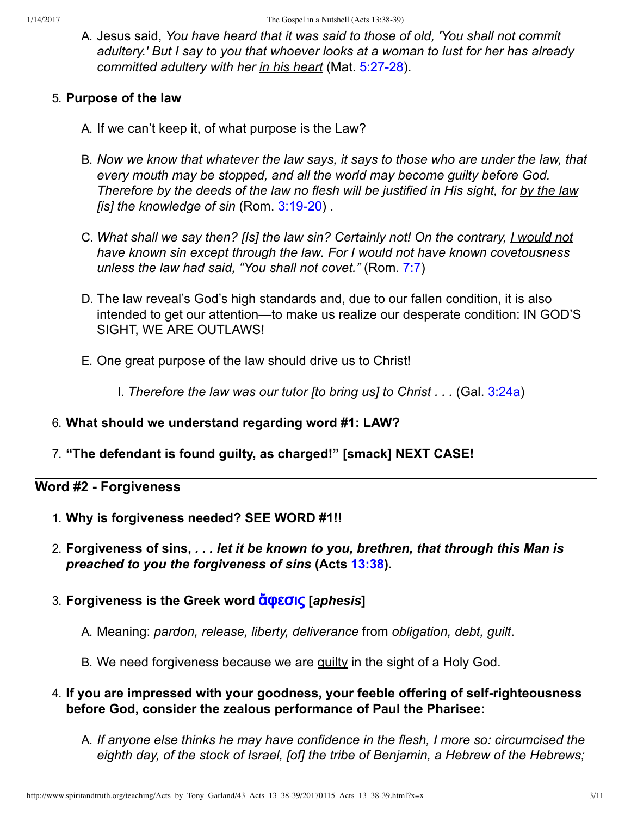A. Jesus said, *You have heard that it was said to those of old, 'You shall not commit adultery.' But I say to you that whoever looks at a woman to lust for her has already committed adultery with her in his heart* (Mat. 5:27-28).

# 5. **Purpose of the law**

- A. If we can't keep it, of what purpose is the Law?
- B. *Now we know that whatever the law says, it says to those who are under the law, that every mouth may be stopped, and all the world may become guilty before God. Therefore by the deeds of the law no flesh will be justified in His sight, for by the law [is] the knowledge of sin (Rom. 3:19-20).*
- C. *What shall we say then? [Is] the law sin? Certainly not! On the contrary, I would not have known sin except through the law. For I would not have known covetousness unless the law had said, "You shall not covet."* (Rom. [7:7\)](http://www.spiritandtruth.org/bibles/nasb/b45c007.htm#Rom._C7V7)
- D. The law reveal's God's high standards and, due to our fallen condition, it is also intended to get our attention—to make us realize our desperate condition: IN GOD'S SIGHT, WE ARE OUTLAWS!
- E. One great purpose of the law should drive us to Christ!

I. *Therefore the law was our tutor [to bring us] to Christ . . .* (Gal. [3:24a](http://www.spiritandtruth.org/bibles/nasb/b48c003.htm#Gal._C3V24))

- 6. **What should we understand regarding word #1: LAW?**
- 7. **"The defendant is found guilty, as charged!" [smack] NEXT CASE!**

# **Word #2 Forgiveness**

- 1. **Why is forgiveness needed? SEE WORD #1!!**
- 2. **Forgiveness of sins,** *. . . let it be known to you, brethren, that through this Man is preached to you the forgiveness of sins* **(Acts [13:38\)](http://www.spiritandtruth.org/bibles/nasb/b44c013.htm#Acts_C13V38).**
- 3. **Forgiveness is the Greek word** [ἄφˢ˰˦˯](http://www.spiritandtruth.org/fontsu/index.htm) **[***aphesis***]**
	- A. Meaning: *pardon, release, liberty, deliverance* from *obligation, debt, guilt*.
	- B. We need forgiveness because we are guilty in the sight of a Holy God.
- 4. If you are impressed with your goodness, your feeble offering of self-righteousness **before God, consider the zealous performance of Paul the Pharisee:**
	- A. *If anyone else thinks he may have confidence in the flesh, I more so: circumcised the eighth day, of the stock of Israel, [of] the tribe of Benjamin, a Hebrew of the Hebrews;*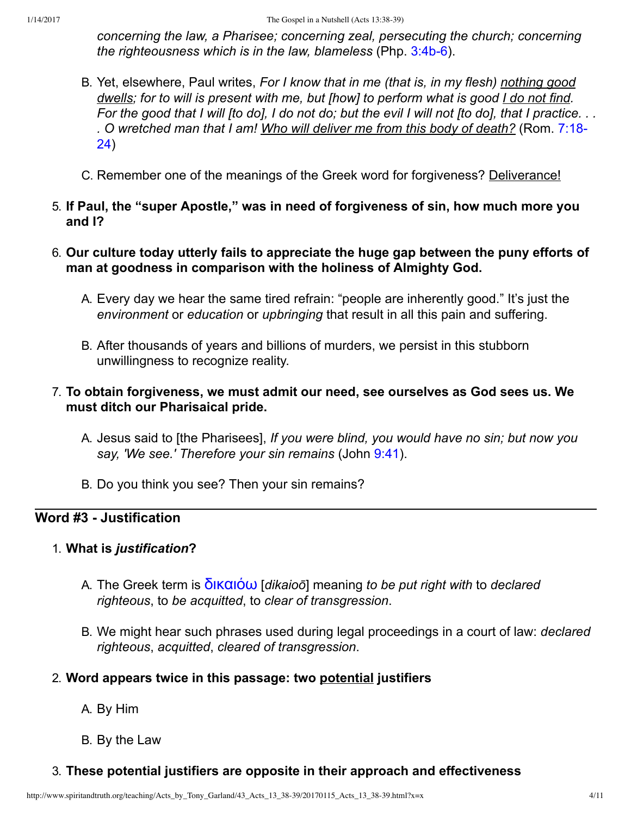*concerning the law, a Pharisee; concerning zeal, persecuting the church; concerning the righteousness which is in the law, blameless* (Php. 3:4b-6).

- B. Yet, elsewhere, Paul writes, *For I know that in me (that is, in my flesh) nothing good dwells; for to will is present with me, but [how] to perform what is good I do not find. For the good that I will [to do], I do not do; but the evil I will not [to do], that I practice. . . [. O wretched man that I am! Who will deliver me from this body of death?](http://www.spiritandtruth.org/bibles/nasb/b45c007.htm#Rom._C7V18)* (Rom. 7:18 24)
- C. Remember one of the meanings of the Greek word for forgiveness? Deliverance!
- 5. **If Paul, the "super Apostle," was in need of forgiveness of sin, how much more you and I?**
- 6. **Our culture today utterly fails to appreciate the huge gap between the puny efforts of man at goodness in comparison with the holiness of Almighty God.**
	- A. Every day we hear the same tired refrain: "people are inherently good." It's just the *environment* or *education* or *upbringing* that result in all this pain and suffering.
	- B. After thousands of years and billions of murders, we persist in this stubborn unwillingness to recognize reality.

# 7. **To obtain forgiveness, we must admit our need, see ourselves as God sees us. We must ditch our Pharisaical pride.**

- A. Jesus said to [the Pharisees], *If you were blind, you would have no sin; but now you say, 'We see.' Therefore your sin remains* (John [9:41\)](http://www.spiritandtruth.org/bibles/nasb/b43c009.htm#John_C9V41).
- B. Do you think you see? Then your sin remains?

# **Word #3 Justification**

### 1. **What is** *justification***?**

- A. The Greek term is [ˡ˦˧α˦όω](http://www.spiritandtruth.org/fontsu/index.htm) [*dikaioō*] meaning *to be put right with* to *declared righteous*, to *be acquitted*, to *clear of transgression*.
- B. We might hear such phrases used during legal proceedings in a court of law: *declared righteous*, *acquitted*, *cleared of transgression*.

### 2. **Word appears twice in this passage: two potential justifiers**

- A. By Him
- B. By the Law

### 3. **These potential justifiers are opposite in their approach and effectiveness**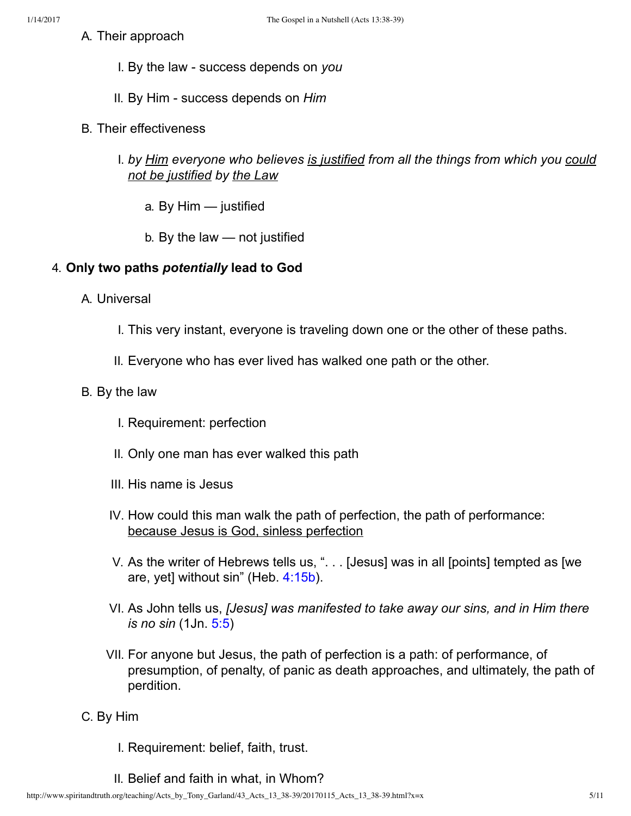- I. By the law success depends on *you*
- II. By Him success depends on *Him*
- B. Their effectiveness
	- I. *by Him everyone who believes is justified from all the things from which you could not be justified by the Law*
		- a. By Him justified
		- b. By the law not justified

# 4. **Only two paths** *potentially* **lead to God**

- A. Universal
	- I. This very instant, everyone is traveling down one or the other of these paths.
	- II. Everyone who has ever lived has walked one path or the other.

# B. By the law

- I. Requirement: perfection
- II. Only one man has ever walked this path
- III. His name is Jesus
- IV. How could this man walk the path of perfection, the path of performance: because Jesus is God, sinless perfection
- V. As the writer of Hebrews tells us, ". . . [Jesus] was in all [points] tempted as [we are, yet] without sin" (Heb. [4:15b\)](http://www.spiritandtruth.org/bibles/nasb/b58c004.htm#Heb._C4V15).
- VI. As John tells us, *[Jesus] was manifested to take away our sins, and in Him there is no sin* (1Jn. [5:5\)](http://www.spiritandtruth.org/bibles/nasb/b62c005.htm#1Jn._C5V5)
- VII. For anyone but Jesus, the path of perfection is a path: of performance, of presumption, of penalty, of panic as death approaches, and ultimately, the path of perdition.
- C. By Him
	- I. Requirement: belief, faith, trust.
	- II. Belief and faith in what, in Whom?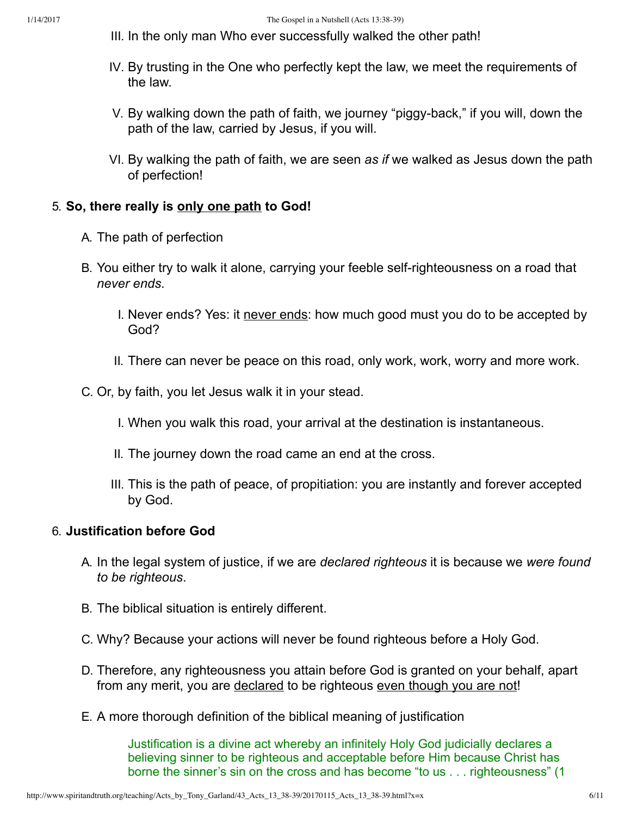- III. In the only man Who ever successfully walked the other path!
- IV. By trusting in the One who perfectly kept the law, we meet the requirements of the law.
- V. By walking down the path of faith, we journey "piggy-back," if you will, down the path of the law, carried by Jesus, if you will.
- VI. By walking the path of faith, we are seen *as if* we walked as Jesus down the path of perfection!

### 5. **So, there really is only one path to God!**

- A. The path of perfection
- B. You either try to walk it alone, carrying your feeble self-righteousness on a road that *never ends*.
	- I. Never ends? Yes: it never ends: how much good must you do to be accepted by God?
	- II. There can never be peace on this road, only work, work, worry and more work.
- C. Or, by faith, you let Jesus walk it in your stead.
	- I. When you walk this road, your arrival at the destination is instantaneous.
	- II. The journey down the road came an end at the cross.
	- III. This is the path of peace, of propitiation: you are instantly and forever accepted by God.

### 6. **Justification before God**

- A. In the legal system of justice, if we are *declared righteous* it is because we *were found to be righteous*.
- B. The biblical situation is entirely different.
- C. Why? Because your actions will never be found righteous before a Holy God.
- D. Therefore, any righteousness you attain before God is granted on your behalf, apart from any merit, you are declared to be righteous even though you are not!
- E. A more thorough definition of the biblical meaning of justification

Justification is a divine act whereby an infinitely Holy God judicially declares a believing sinner to be righteous and acceptable before Him because Christ has borne the sinner's sin on the cross and has become "to us . . . righteousness" (1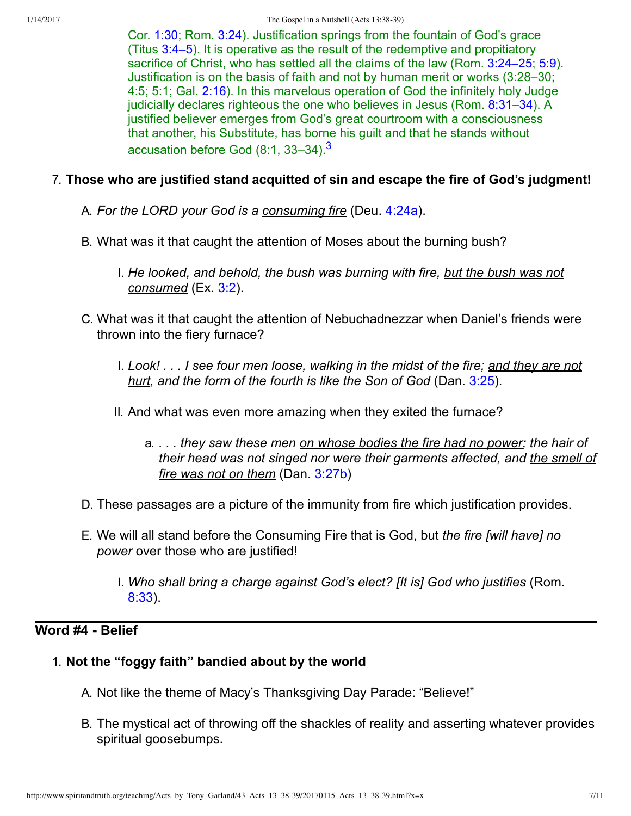<span id="page-6-0"></span>Cor. [1:30;](http://www.spiritandtruth.org/bibles/nasb/b46c001.htm#1Cor._C1V30) Rom. [3:24\)](http://www.spiritandtruth.org/bibles/nasb/b45c003.htm#Rom._C3V24). Justification springs from the fountain of God's grace (Titus [3:4–5](http://www.spiritandtruth.org/bibles/nasb/b56c003.htm#Tit._C3V4)). It is operative as the result of the redemptive and propitiatory sacrifice of Christ, who has settled all the claims of the law (Rom. [3:24–25;](http://www.spiritandtruth.org/bibles/nasb/b45c003.htm#Rom._C3V24) [5:9\)](http://www.spiritandtruth.org/bibles/nasb/b45c005.htm#Rom._C5V9). Justification is on the basis of faith and not by human merit or works (3:28–30; 4:5; 5:1; Gal. [2:16](http://www.spiritandtruth.org/bibles/nasb/b48c002.htm#Gal._C2V16)). In this marvelous operation of God the infinitely holy Judge judicially declares righteous the one who believes in Jesus (Rom. [8:31–34](http://www.spiritandtruth.org/bibles/nasb/b45c008.htm#Rom._C8V31)). A justified believer emerges from God's great courtroom with a consciousness that another, his Substitute, has borne his guilt and that he stands without accusation before God  $(8:1, 33-34).$  $(8:1, 33-34).$  $(8:1, 33-34).$ <sup>3</sup>

# 7. **Those who are justified stand acquitted of sin and escape the fire of God's judgment!**

A. *For the LORD your God is a consuming fire* (Deu. [4:24a\)](http://www.spiritandtruth.org/bibles/nasb/b05c004.htm#Deu._C4V24).

- B. What was it that caught the attention of Moses about the burning bush?
	- I. *He looked, and behold, the bush was burning with fire, but the bush was not consumed* (Ex. [3:2](http://www.spiritandtruth.org/bibles/nasb/b02c003.htm#Ex._C3V2)).
- C. What was it that caught the attention of Nebuchadnezzar when Daniel's friends were thrown into the fiery furnace?
	- I. *Look! . . . I see four men loose, walking in the midst of the fire; and they are not hurt, and the form of the fourth is like the Son of God* (Dan. [3:25\)](http://www.spiritandtruth.org/bibles/nasb/b27c003.htm#Dan._C3V25).
	- II. And what was even more amazing when they exited the furnace?
		- a. *. . . they saw these men on whose bodies the fire had no power; the hair of their head was not singed nor were their garments affected, and the smell of fire was not on them* (Dan. [3:27b\)](http://www.spiritandtruth.org/bibles/nasb/b27c003.htm#Dan._C3V27)
- D. These passages are a picture of the immunity from fire which justification provides.
- E. We will all stand before the Consuming Fire that is God, but *the fire [will have] no power* over those who are justified!
	- I. *Who shall bring a charge against God's elect? [It is] God who justifies* (Rom. [8:33\)](http://www.spiritandtruth.org/bibles/nasb/b45c008.htm#Rom._C8V33).

# Word #4 - Belief

# 1. **Not the "foggy faith" bandied about by the world**

- A. Not like the theme of Macy's Thanksgiving Day Parade: "Believe!"
- B. The mystical act of throwing off the shackles of reality and asserting whatever provides spiritual goosebumps.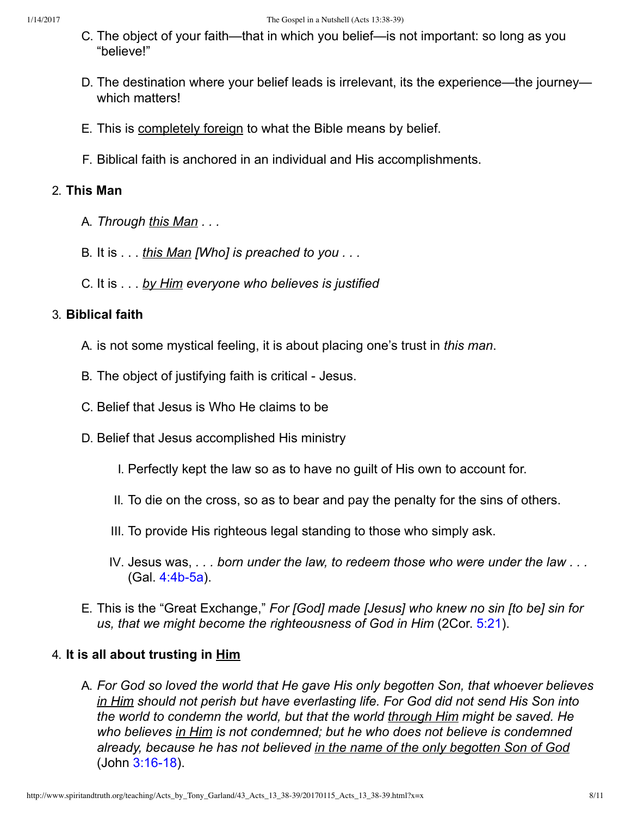- C. The object of your faith—that in which you belief—is not important: so long as you "believe!"
- D. The destination where your belief leads is irrelevant, its the experience—the journey which matters!
- E. This is completely foreign to what the Bible means by belief.
- F. Biblical faith is anchored in an individual and His accomplishments.

## 2. **This Man**

- A. *Through this Man . . .*
- B. It is . . . *this Man [Who] is preached to you . . .*
- C. It is . . . *by Him everyone who believes is justified*

### 3. **Biblical faith**

- A. is not some mystical feeling, it is about placing one's trust in *this man*.
- B. The object of justifying faith is critical Jesus.
- C. Belief that Jesus is Who He claims to be
- D. Belief that Jesus accomplished His ministry
	- I. Perfectly kept the law so as to have no guilt of His own to account for.
	- II. To die on the cross, so as to bear and pay the penalty for the sins of others.
	- III. To provide His righteous legal standing to those who simply ask.
	- IV. Jesus was, *. . . born under the law, to redeem those who were under the law . . .*  $(Gal. 4:4b-5a)$ .
- E. This is the "Great Exchange," *For [God] made [Jesus] who knew no sin [to be] sin for us, that we might become the righteousness of God in Him* (2Cor. [5:21](http://www.spiritandtruth.org/bibles/nasb/b47c005.htm#2Cor._C5V21)).

# 4. **It is all about trusting in Him**

A. *For God so loved the world that He gave His only begotten Son, that whoever believes in Him should not perish but have everlasting life. For God did not send His Son into the world to condemn the world, but that the world through Him might be saved. He who believes in Him is not condemned; but he who does not believe is condemned already, because he has not believed in the name of the only begotten Son of God* (John 3:16-18).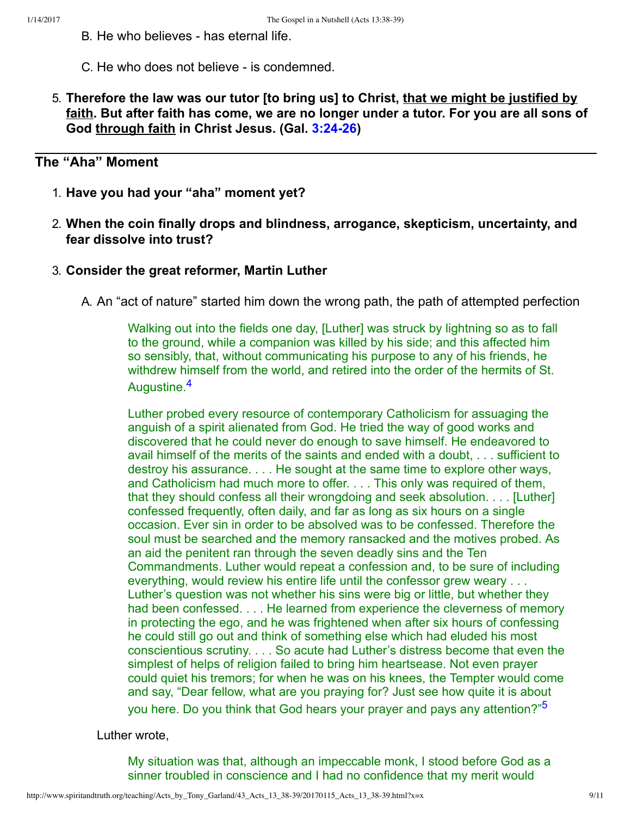- B. He who believes has eternal life.
- C. He who does not believe is condemned.
- 5. **Therefore the law was our tutor [to bring us] to Christ, that we might be justified by faith. But after faith has come, we are no longer under a tutor. For you are all sons of God through faith in Christ Jesus. (Gal. [3:2426](http://www.spiritandtruth.org/bibles/nasb/b48c003.htm#Gal._C3V24))**

# **The "Aha" Moment**

- 1. **Have you had your "aha" moment yet?**
- 2. **When the coin finally drops and blindness, arrogance, skepticism, uncertainty, and fear dissolve into trust?**
- 3. **Consider the great reformer, Martin Luther**
	- A. An "act of nature" started him down the wrong path, the path of attempted perfection

Walking out into the fields one day, [Luther] was struck by lightning so as to fall to the ground, while a companion was killed by his side; and this affected him so sensibly, that, without communicating his purpose to any of his friends, he withdrew himself from the world, and retired into the order of the hermits of St. Augustine.<sup>[4](#page-10-5)</sup>

<span id="page-8-0"></span>Luther probed every resource of contemporary Catholicism for assuaging the anguish of a spirit alienated from God. He tried the way of good works and discovered that he could never do enough to save himself. He endeavored to avail himself of the merits of the saints and ended with a doubt, . . . sufficient to destroy his assurance. . . . He sought at the same time to explore other ways, and Catholicism had much more to offer. . . . This only was required of them, that they should confess all their wrongdoing and seek absolution. . . . [Luther] confessed frequently, often daily, and far as long as six hours on a single occasion. Ever sin in order to be absolved was to be confessed. Therefore the soul must be searched and the memory ransacked and the motives probed. As an aid the penitent ran through the seven deadly sins and the Ten Commandments. Luther would repeat a confession and, to be sure of including everything, would review his entire life until the confessor grew weary . . . Luther's question was not whether his sins were big or little, but whether they had been confessed. . . . He learned from experience the cleverness of memory in protecting the ego, and he was frightened when after six hours of confessing he could still go out and think of something else which had eluded his most conscientious scrutiny. . . . So acute had Luther's distress become that even the simplest of helps of religion failed to bring him heartsease. Not even prayer could quiet his tremors; for when he was on his knees, the Tempter would come and say, "Dear fellow, what are you praying for? Just see how quite it is about you here. Do you think that God hears your prayer and pays any attention?"<sup>[5](#page-10-6)</sup>

Luther wrote,

<span id="page-8-1"></span>My situation was that, although an impeccable monk, I stood before God as a sinner troubled in conscience and I had no confidence that my merit would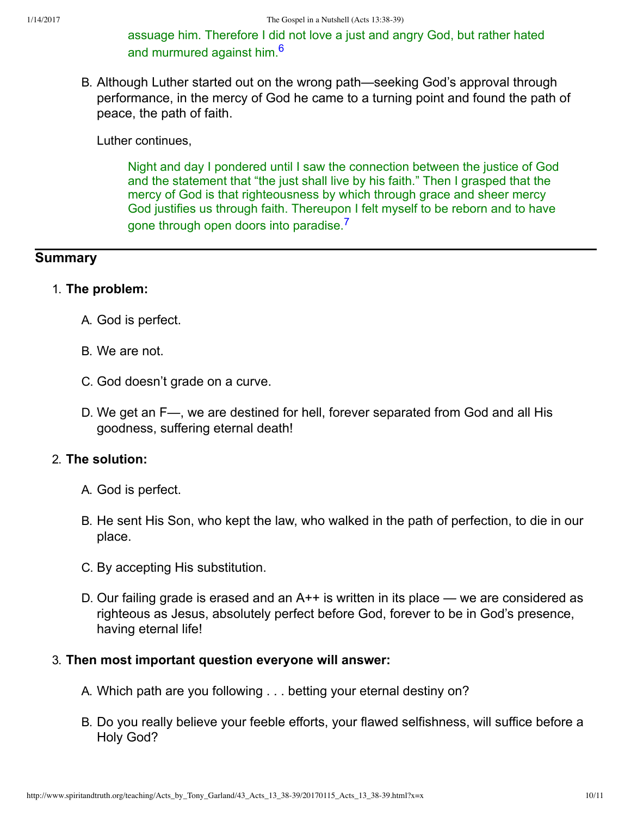<span id="page-9-0"></span>assuage him. Therefore I did not love a just and angry God, but rather hated and murmured against him <sup>[6](#page-10-7)</sup>

B. Although Luther started out on the wrong path—seeking God's approval through performance, in the mercy of God he came to a turning point and found the path of peace, the path of faith.

Luther continues,

<span id="page-9-1"></span>Night and day I pondered until I saw the connection between the justice of God and the statement that "the just shall live by his faith." Then I grasped that the mercy of God is that righteousness by which through grace and sheer mercy God justifies us through faith. Thereupon I felt myself to be reborn and to have gone through open doors into paradise.<sup>[7](#page-10-8)</sup>

### **Summary**

#### 1. **The problem:**

- A. God is perfect.
- B. We are not.
- C. God doesn't grade on a curve.
- D. We get an F—, we are destined for hell, forever separated from God and all His goodness, suffering eternal death!

#### 2. **The solution:**

- A. God is perfect.
- B. He sent His Son, who kept the law, who walked in the path of perfection, to die in our place.
- C. By accepting His substitution.
- D. Our failing grade is erased and an A++ is written in its place we are considered as righteous as Jesus, absolutely perfect before God, forever to be in God's presence, having eternal life!

#### 3. **Then most important question everyone will answer:**

- A. Which path are you following . . . betting your eternal destiny on?
- B. Do you really believe your feeble efforts, your flawed selfishness, will suffice before a Holy God?